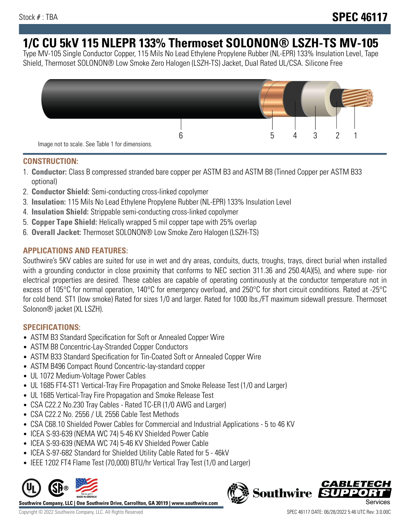# **1/C CU 5kV 115 NLEPR 133% Thermoset SOLONON® LSZH-TS MV-105**

Type MV-105 Single Conductor Copper, 115 Mils No Lead Ethylene Propylene Rubber (NL-EPR) 133% Insulation Level, Tape Shield, Thermoset SOLONON® Low Smoke Zero Halogen (LSZH-TS) Jacket, Dual Rated UL/CSA. Silicone Free



#### **CONSTRUCTION:**

- 1. **Conductor:** Class B compressed stranded bare copper per ASTM B3 and ASTM B8 (Tinned Copper per ASTM B33 optional)
- 2. **Conductor Shield:** Semi-conducting cross-linked copolymer
- 3. **Insulation:** 115 Mils No Lead Ethylene Propylene Rubber (NL-EPR) 133% Insulation Level
- 4. **Insulation Shield:** Strippable semi-conducting cross-linked copolymer
- 5. **Copper Tape Shield:** Helically wrapped 5 mil copper tape with 25% overlap
- 6. **Overall Jacket:** Thermoset SOLONON® Low Smoke Zero Halogen (LSZH-TS)

# **APPLICATIONS AND FEATURES:**

Southwire's 5KV cables are suited for use in wet and dry areas, conduits, ducts, troughs, trays, direct burial when installed with a grounding conductor in close proximity that conforms to NEC section 311.36 and 250.4(A)(5), and where supe- rior electrical properties are desired. These cables are capable of operating continuously at the conductor temperature not in excess of 105°C for normal operation, 140°C for emergency overload, and 250°C for short circuit conditions. Rated at -25°C for cold bend. ST1 (low smoke) Rated for sizes 1/0 and larger. Rated for 1000 lbs./FT maximum sidewall pressure. Thermoset Solonon® jacket (XL LSZH).

# **SPECIFICATIONS:**

- ASTM B3 Standard Specification for Soft or Annealed Copper Wire
- ASTM B8 Concentric-Lay-Stranded Copper Conductors
- ASTM B33 Standard Specification for Tin-Coated Soft or Annealed Copper Wire
- ASTM B496 Compact Round Concentric-lay-standard copper
- UL 1072 Medium-Voltage Power Cables
- UL 1685 FT4-ST1 Vertical-Tray Fire Propagation and Smoke Release Test (1/0 and Larger)
- UL 1685 Vertical-Tray Fire Propagation and Smoke Release Test
- CSA C22.2 No.230 Tray Cables Rated TC-ER (1/0 AWG and Larger)
- CSA C22.2 No. 2556 / UL 2556 Cable Test Methods
- CSA C68.10 Shielded Power Cables for Commercial and Industrial Applications 5 to 46 KV
- ICEA S-93-639 (NEMA WC 74) 5-46 KV Shielded Power Cable
- ICEA S-93-639 (NEMA WC 74) 5-46 KV Shielded Power Cable
- ICEA S-97-682 Standard for Shielded Utility Cable Rated for 5 46kV
- IEEE 1202 FT4 Flame Test (70,000) BTU/hr Vertical Tray Test (1/0 and Larger)



**Southwire Company, LLC | One Southwire Drive, Carrollton, GA 30119 | www.southwire.com**